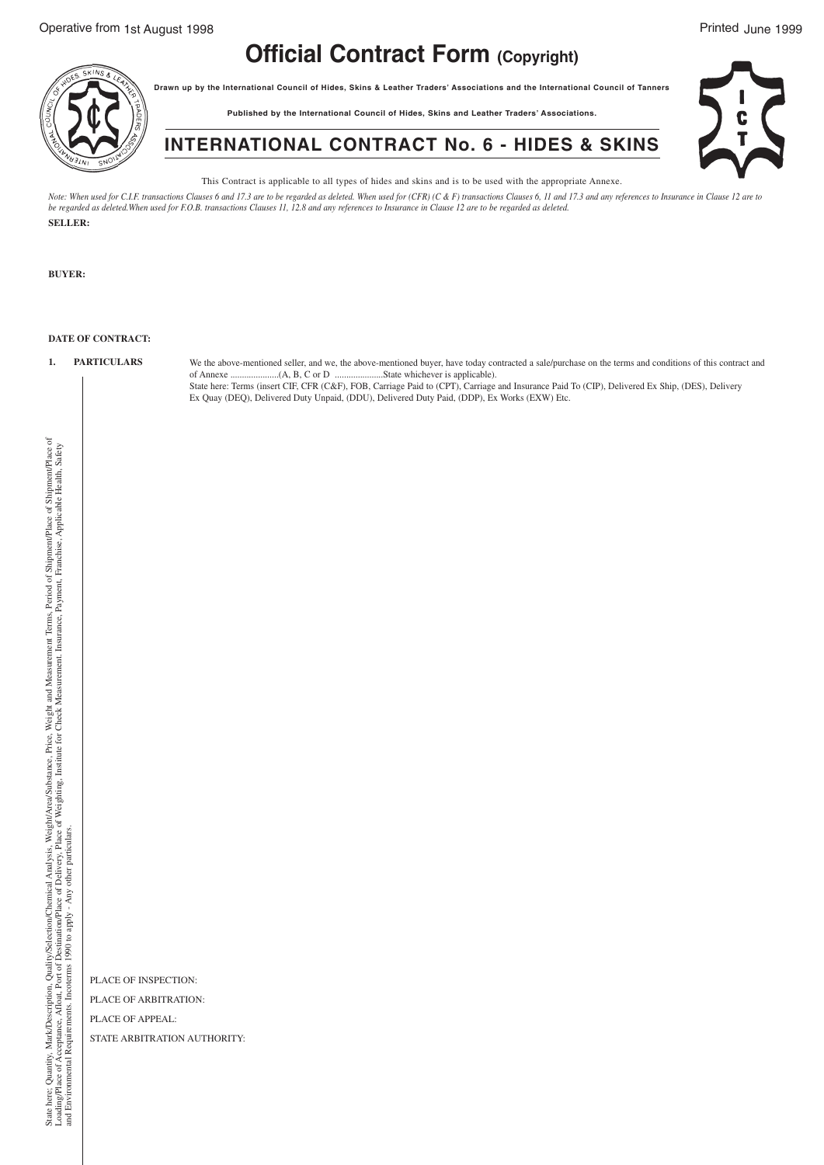## **Official Contract Form (Copyright)**

**Drawn up by the International Council of Hides, Skins & Leather Traders' Associations and the International Council of Tanners**

**Published by the International Council of Hides, Skins and Leather Traders' Associations.**



**INTERNATIONAL CONTRACT No. 6 - HIDES & SKINS**

This Contract is applicable to all types of hides and skins and is to be used with the appropriate Annexe.

Note: When used for C.I.F. transactions Clauses 6 and 17.3 are to be regarded as deleted. When used for (CFR) (C & F) transactions Clauses 6, 11 and 17.3 and any references to Insurance in Clause 12 are to<br>be regarded as d **SELLER:**

**BUYER:**

## **DATE OF CONTRACT:**

**1. PARTICULARS** We the above-mentioned seller, and we, the above-mentioned buyer, have today contracted a sale/purchase on the terms and conditions of this contract and of Annexe .....................(A, B, C or D .....................State whichever is applicable).

State here: Terms (insert CIF, CFR (C&F), FOB, Carriage Paid to (CPT), Carriage and Insurance Paid To (CIP), Delivered Ex Ship, (DES), Delivery Ex Quay (DEQ), Delivered Duty Unpaid, (DDU), Delivered Duty Paid, (DDP), Ex Works (EXW) Etc.

State here; Quantiv, Mark/Description, Quality/Selection/Chemical Analysis, Weight/Area/Substance, Price, Weight and Measurement Terms. Period of Shipment/Place of Shipment/Place of<br>Loading/Place of Acceptance, Afloat, Por Weight and Measurement Terms, Period of Shipment/Place of Shipment/Place of Weighting, Institute for Check Measurement. Insurance, Payment, Franchise, Applicable Health, Safety Weight/Area/Substance, Price, Loading/Place of Acceptance, Afloat, Port of Destination/Place of Delivery, Place of and Environmental Requirements. Incoterms 1990 to apply - Any other particulars. State here; Quantity, Mark/Description, Quality/Selection/Chemical Analysis,

PLACE OF INSPECTION: PLACE OF ARBITRATION:

PLACE OF APPEAL:

STATE ARBITRATION AUTHORITY: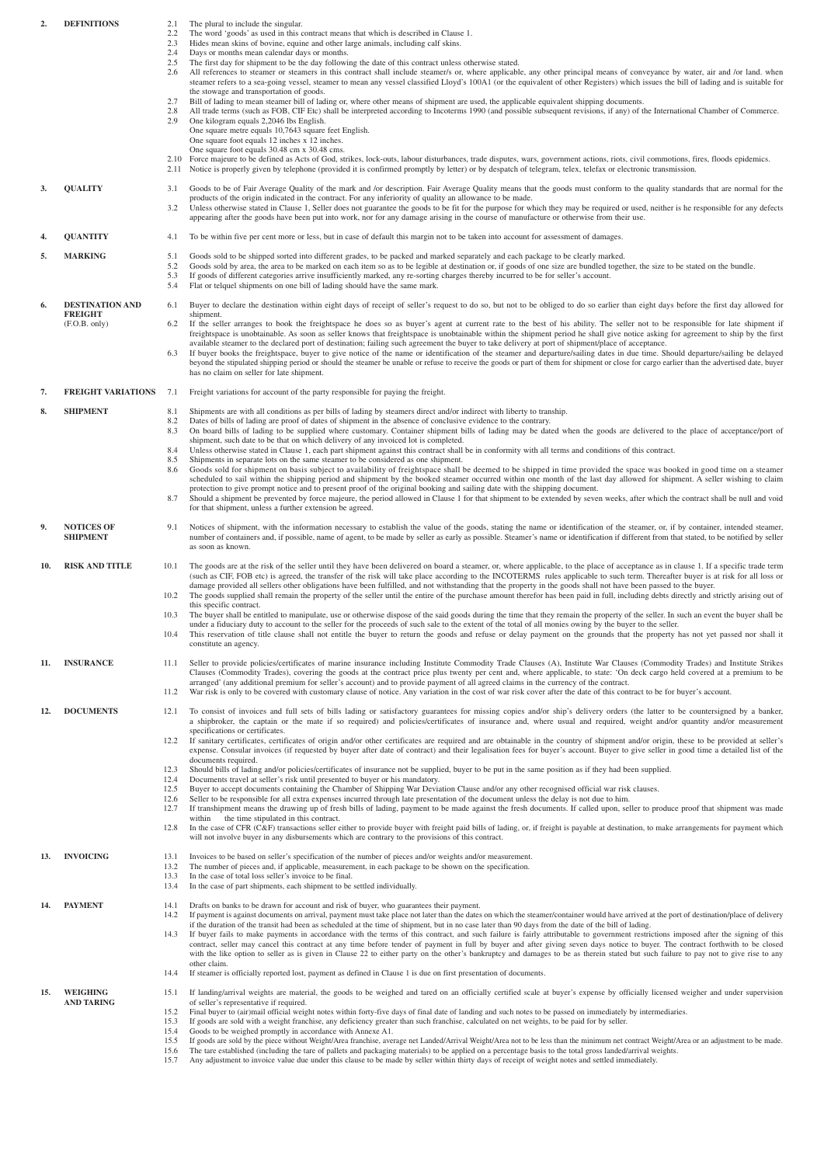| <b>DEFINITIONS</b><br>The plural to include the singular.<br>2.<br>2.1<br>2.2<br>The word 'goods' as used in this contract means that which is described in Clause 1.<br>Hides mean skins of bovine, equine and other large animals, including calf skins.<br>2.3<br>Days or months mean calendar days or months.<br>2.4<br>2.5<br>The first day for shipment to be the day following the date of this contract unless otherwise stated. |                                                           |                              |                                                                                                                                                                                                                                                                                                                                                                                                                                                                                                                                                                                                                                                                                                                          |  |
|------------------------------------------------------------------------------------------------------------------------------------------------------------------------------------------------------------------------------------------------------------------------------------------------------------------------------------------------------------------------------------------------------------------------------------------|-----------------------------------------------------------|------------------------------|--------------------------------------------------------------------------------------------------------------------------------------------------------------------------------------------------------------------------------------------------------------------------------------------------------------------------------------------------------------------------------------------------------------------------------------------------------------------------------------------------------------------------------------------------------------------------------------------------------------------------------------------------------------------------------------------------------------------------|--|
|                                                                                                                                                                                                                                                                                                                                                                                                                                          |                                                           | 2.6<br>2.7                   | All references to steamer or steamers in this contract shall include steamer/s or, where applicable, any other principal means of conveyance by water, air and /or land. when<br>steamer refers to a sea-going vessel, steamer to mean any vessel classified Lloyd's 100A1 (or the equivalent of other Registers) which issues the bill of lading and is suitable for<br>the stowage and transportation of goods.<br>Bill of lading to mean steamer bill of lading or, where other means of shipment are used, the applicable equivalent shipping documents.                                                                                                                                                             |  |
|                                                                                                                                                                                                                                                                                                                                                                                                                                          |                                                           | 2.8<br>2.9                   | All trade terms (such as FOB, CIF Etc) shall be interpreted according to Incoterms 1990 (and possible subsequent revisions, if any) of the International Chamber of Commerce.<br>One kilogram equals 2,2046 lbs English.<br>One square metre equals 10,7643 square feet English.<br>One square foot equals 12 inches x 12 inches.                                                                                                                                                                                                                                                                                                                                                                                        |  |
|                                                                                                                                                                                                                                                                                                                                                                                                                                          |                                                           | 2.11                         | One square foot equals 30.48 cm x 30.48 cms.<br>2.10 Force majeure to be defined as Acts of God, strikes, lock-outs, labour disturbances, trade disputes, wars, government actions, riots, civil commotions, fires, floods epidemics.<br>Notice is properly given by telephone (provided it is confirmed promptly by letter) or by despatch of telegram, telex, telefax or electronic transmission.                                                                                                                                                                                                                                                                                                                      |  |
| 3.                                                                                                                                                                                                                                                                                                                                                                                                                                       | <b>OUALITY</b>                                            | 3.1<br>3.2                   | Goods to be of Fair Average Quality of the mark and /or description. Fair Average Quality means that the goods must conform to the quality standards that are normal for the<br>products of the origin indicated in the contract. For any inferiority of quality an allowance to be made.<br>Unless otherwise stated in Clause 1, Seller does not guarantee the goods to be fit for the purpose for which they may be required or used, neither is he responsible for any defects<br>appearing after the goods have been put into work, nor for any damage arising in the course of manufacture or otherwise from their use.                                                                                             |  |
| 4.                                                                                                                                                                                                                                                                                                                                                                                                                                       | <b>QUANTITY</b>                                           | 4.1                          | To be within five per cent more or less, but in case of default this margin not to be taken into account for assessment of damages.                                                                                                                                                                                                                                                                                                                                                                                                                                                                                                                                                                                      |  |
| 5.                                                                                                                                                                                                                                                                                                                                                                                                                                       | <b>MARKING</b>                                            | 5.1<br>5.2<br>5.3<br>5.4     | Goods sold to be shipped sorted into different grades, to be packed and marked separately and each package to be clearly marked.<br>Goods sold by area, the area to be marked on each item so as to be legible at destination or, if goods of one size are bundled together, the size to be stated on the bundle.<br>If goods of different categories arrive insufficiently marked, any re-sorting charges thereby incurred to be for seller's account.<br>Flat or telquel shipments on one bill of lading should have the same mark.                                                                                                                                                                                    |  |
| 6.                                                                                                                                                                                                                                                                                                                                                                                                                                       | <b>DESTINATION AND</b><br><b>FREIGHT</b><br>(F.O.B. only) | 6.1                          | Buyer to declare the destination within eight days of receipt of seller's request to do so, but not to be obliged to do so earlier than eight days before the first day allowed for                                                                                                                                                                                                                                                                                                                                                                                                                                                                                                                                      |  |
|                                                                                                                                                                                                                                                                                                                                                                                                                                          |                                                           | 6.2<br>6.3                   | shipment.<br>If the seller arranges to book the freightspace he does so as buyer's agent at current rate to the best of his ability. The seller not to be responsible for late shipment if<br>freightspace is unobtainable. As soon as seller knows that freightspace is unobtainable within the shipment period he shall give notice asking for agreement to ship by the first<br>available steamer to the declared port of destination; failing such agreement the buyer to take delivery at port of shipment/place of acceptance.<br>If buyer books the freightspace, buyer to give notice of the name or identification of the steamer and departure/sailing dates in due time. Should departure/sailing be delayed  |  |
|                                                                                                                                                                                                                                                                                                                                                                                                                                          |                                                           |                              | beyond the stipulated shipping period or should the steamer be unable or refuse to receive the goods or part of them for shipment or close for cargo earlier than the advertised date, buyer<br>has no claim on seller for late shipment.                                                                                                                                                                                                                                                                                                                                                                                                                                                                                |  |
| 7.                                                                                                                                                                                                                                                                                                                                                                                                                                       | <b>FREIGHT VARIATIONS</b>                                 | 7.1                          | Freight variations for account of the party responsible for paying the freight.                                                                                                                                                                                                                                                                                                                                                                                                                                                                                                                                                                                                                                          |  |
| 8.                                                                                                                                                                                                                                                                                                                                                                                                                                       | <b>SHIPMENT</b>                                           | 8.1<br>8.2<br>8.3            | Shipments are with all conditions as per bills of lading by steamers direct and/or indirect with liberty to tranship.<br>Dates of bills of lading are proof of dates of shipment in the absence of conclusive evidence to the contrary.<br>On board bills of lading to be supplied where customary. Container shipment bills of lading may be dated when the goods are delivered to the place of acceptance/port of                                                                                                                                                                                                                                                                                                      |  |
|                                                                                                                                                                                                                                                                                                                                                                                                                                          |                                                           | 8.4<br>8.5<br>8.6            | shipment, such date to be that on which delivery of any invoiced lot is completed.<br>Unless otherwise stated in Clause 1, each part shipment against this contract shall be in conformity with all terms and conditions of this contract.<br>Shipments in separate lots on the same steamer to be considered as one shipment.<br>Goods sold for shipment on basis subject to availability of freightspace shall be deemed to be shipped in time provided the space was booked in good time on a steamer                                                                                                                                                                                                                 |  |
|                                                                                                                                                                                                                                                                                                                                                                                                                                          |                                                           | 8.7                          | scheduled to sail within the shipping period and shipment by the booked steamer occurred within one month of the last day allowed for shipment. A seller wishing to claim<br>protection to give prompt notice and to present proof of the original booking and sailing date with the shipping document.<br>Should a shipment be prevented by force majeure, the period allowed in Clause 1 for that shipment to be extended by seven weeks, after which the contract shall be null and void<br>for that shipment, unless a further extension be agreed.                                                                                                                                                                  |  |
| 9.                                                                                                                                                                                                                                                                                                                                                                                                                                       | <b>NOTICES OF</b><br><b>SHIPMENT</b>                      | 9.1                          | Notices of shipment, with the information necessary to establish the value of the goods, stating the name or identification of the steamer, or, if by container, intended steamer,<br>number of containers and, if possible, name of agent, to be made by seller as early as possible. Steamer's name or identification if different from that stated, to be notified by seller<br>as soon as known.                                                                                                                                                                                                                                                                                                                     |  |
| <b>RISK AND TITLE</b><br>10.                                                                                                                                                                                                                                                                                                                                                                                                             |                                                           | 10.1                         | The goods are at the risk of the seller until they have been delivered on board a steamer, or, where applicable, to the place of acceptance as in clause 1. If a specific trade term<br>(such as CIF, FOB etc) is agreed, the transfer of the risk will take place according to the INCOTERMS rules applicable to such term. Thereafter buyer is at risk for all loss or<br>damage provided all sellers other obligations have been fulfilled, and not withstanding that the property in the goods shall not have been passed to the buyer.                                                                                                                                                                              |  |
|                                                                                                                                                                                                                                                                                                                                                                                                                                          |                                                           | 10.2                         | The goods supplied shall remain the property of the seller until the entire of the purchase amount therefor has been paid in full, including debts directly and strictly arising out of<br>this specific contract.                                                                                                                                                                                                                                                                                                                                                                                                                                                                                                       |  |
|                                                                                                                                                                                                                                                                                                                                                                                                                                          |                                                           | 10.3<br>10.4                 | The buyer shall be entitled to manipulate, use or otherwise dispose of the said goods during the time that they remain the property of the seller. In such an event the buyer shall be<br>under a fiduciary duty to account to the seller for the proceeds of such sale to the extent of the total of all monies owing by the buyer to the seller.<br>This reservation of title clause shall not entitle the buyer to return the goods and refuse or delay payment on the grounds that the property has not yet passed nor shall it<br>constitute an agency.                                                                                                                                                             |  |
| 11.                                                                                                                                                                                                                                                                                                                                                                                                                                      | <b>INSURANCE</b>                                          | 11.1<br>11.2                 | Seller to provide policies/certificates of marine insurance including Institute Commodity Trade Clauses (A), Institute War Clauses (Commodity Trades) and Institute Strikes<br>Clauses (Commodity Trades), covering the goods at the contract price plus twenty per cent and, where applicable, to state: 'On deck cargo held covered at a premium to be<br>arranged' (any additional premium for seller's account) and to provide payment of all agreed claims in the currency of the contract.<br>War risk is only to be covered with customary clause of notice. Any variation in the cost of war risk cover after the date of this contract to be for buyer's account.                                               |  |
| 12.                                                                                                                                                                                                                                                                                                                                                                                                                                      | <b>DOCUMENTS</b>                                          | 12.1                         | To consist of invoices and full sets of bills lading or satisfactory guarantees for missing copies and/or ship's delivery orders (the latter to be countersigned by a banker,                                                                                                                                                                                                                                                                                                                                                                                                                                                                                                                                            |  |
|                                                                                                                                                                                                                                                                                                                                                                                                                                          |                                                           | 12.2                         | a shipbroker, the captain or the mate if so required) and policies/certificates of insurance and, where usual and required, weight and/or quantity and/or measurement<br>specifications or certificates.<br>If sanitary certificates, certificates of origin and/or other certificates are required and are obtainable in the country of shipment and/or origin, these to be provided at seller's<br>expense. Consular invoices (if requested by buyer after date of contract) and their legalisation fees for buyer's account. Buyer to give seller in good time a detailed list of the                                                                                                                                 |  |
|                                                                                                                                                                                                                                                                                                                                                                                                                                          |                                                           | 12.3                         | documents required.<br>Should bills of lading and/or policies/certificates of insurance not be supplied, buyer to be put in the same position as if they had been supplied.                                                                                                                                                                                                                                                                                                                                                                                                                                                                                                                                              |  |
|                                                                                                                                                                                                                                                                                                                                                                                                                                          |                                                           | 12.4<br>12.5<br>12.6<br>12.7 | Documents travel at seller's risk until presented to buyer or his mandatory.<br>Buyer to accept documents containing the Chamber of Shipping War Deviation Clause and/or any other recognised official war risk clauses.<br>Seller to be responsible for all extra expenses incurred through late presentation of the document unless the delay is not due to him.<br>If transhipment means the drawing up of fresh bills of lading, payment to be made against the fresh documents. If called upon, seller to produce proof that shipment was made                                                                                                                                                                      |  |
|                                                                                                                                                                                                                                                                                                                                                                                                                                          |                                                           | 12.8                         | within the time stipulated in this contract.<br>In the case of CFR (C&F) transactions seller either to provide buyer with freight paid bills of lading, or, if freight is payable at destination, to make arrangements for payment which<br>will not involve buyer in any disbursements which are contrary to the provisions of this contract.                                                                                                                                                                                                                                                                                                                                                                           |  |
| 13.                                                                                                                                                                                                                                                                                                                                                                                                                                      | <b>INVOICING</b>                                          | 13.1<br>13.2                 | Invoices to be based on seller's specification of the number of pieces and/or weights and/or measurement.<br>The number of pieces and, if applicable, measurement, in each package to be shown on the specification.                                                                                                                                                                                                                                                                                                                                                                                                                                                                                                     |  |
|                                                                                                                                                                                                                                                                                                                                                                                                                                          |                                                           | 13.3<br>13.4                 | In the case of total loss seller's invoice to be final.<br>In the case of part shipments, each shipment to be settled individually.                                                                                                                                                                                                                                                                                                                                                                                                                                                                                                                                                                                      |  |
| 14.                                                                                                                                                                                                                                                                                                                                                                                                                                      | <b>PAYMENT</b>                                            | 14.1<br>14.2                 | Drafts on banks to be drawn for account and risk of buyer, who guarantees their payment.<br>If payment is against documents on arrival, payment must take place not later than the dates on which the steamer/container would have arrived at the port of destination/place of delivery                                                                                                                                                                                                                                                                                                                                                                                                                                  |  |
|                                                                                                                                                                                                                                                                                                                                                                                                                                          |                                                           | 14.3                         | if the duration of the transit had been as scheduled at the time of shipment, but in no case later than 90 days from the date of the bill of lading.<br>If buyer fails to make payments in accordance with the terms of this contract, and such failure is fairly attributable to government restrictions imposed after the signing of this<br>contract, seller may cancel this contract at any time before tender of payment in full by buyer and after giving seven days notice to buyer. The contract forthwith to be closed<br>with the like option to seller as is given in Clause 22 to either party on the other's bankruptcy and damages to be as therein stated but such failure to pay not to give rise to any |  |
|                                                                                                                                                                                                                                                                                                                                                                                                                                          |                                                           | 14.4                         | other claim.<br>If steamer is officially reported lost, payment as defined in Clause 1 is due on first presentation of documents.                                                                                                                                                                                                                                                                                                                                                                                                                                                                                                                                                                                        |  |
| 15.                                                                                                                                                                                                                                                                                                                                                                                                                                      | WEIGHING<br><b>AND TARING</b>                             | 15.1                         | If landing/arrival weights are material, the goods to be weighed and tared on an officially certified scale at buyer's expense by officially licensed weigher and under supervision<br>of seller's representative if required.                                                                                                                                                                                                                                                                                                                                                                                                                                                                                           |  |
|                                                                                                                                                                                                                                                                                                                                                                                                                                          |                                                           | 15.2<br>15.3                 | Final buyer to (air)mail official weight notes within forty-five days of final date of landing and such notes to be passed on immediately by intermediaries.<br>If goods are sold with a weight franchise, any deficiency greater than such franchise, calculated on net weights, to be paid for by seller.                                                                                                                                                                                                                                                                                                                                                                                                              |  |
|                                                                                                                                                                                                                                                                                                                                                                                                                                          |                                                           | 15.4<br>15.5                 | Goods to be weighed promptly in accordance with Annexe A1.<br>If goods are sold by the piece without Weight/Area franchise, average net Landed/Arrival Weight/Area not to be less than the minimum net contract Weight/Area or an adjustment to be made.                                                                                                                                                                                                                                                                                                                                                                                                                                                                 |  |
|                                                                                                                                                                                                                                                                                                                                                                                                                                          |                                                           | 15.6<br>15.7                 | The tare established (including the tare of pallets and packaging materials) to be applied on a percentage basis to the total gross landed/arrival weights.<br>Any adjustment to invoice value due under this clause to be made by seller within thirty days of receipt of weight notes and settled immediately.                                                                                                                                                                                                                                                                                                                                                                                                         |  |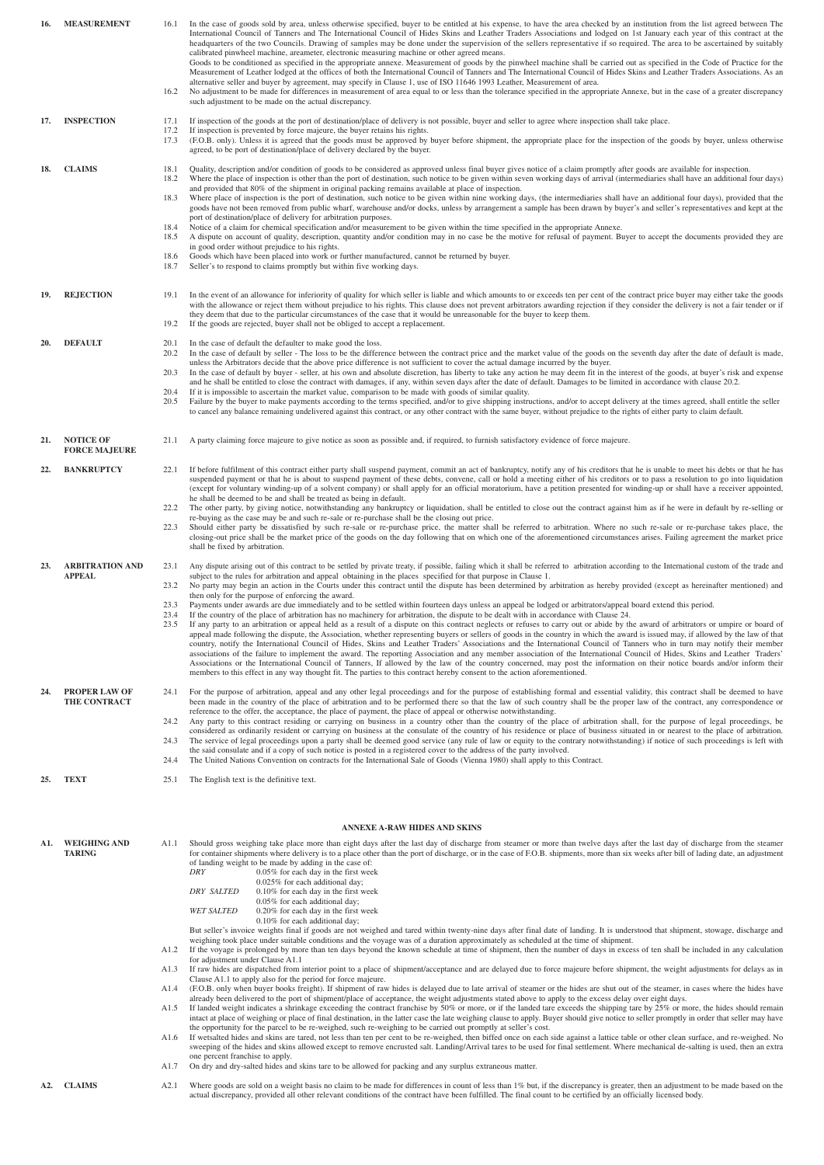| 16. | <b>MEASUREMENT</b>                       | In the case of goods sold by area, unless otherwise specified, buyer to be entitled at his expense, to have the area checked by an institution from the list agreed between The<br>International Council of Tanners and The International Council of Hides Skins and Leather Traders Associations and lodged on 1st January each year of this contract at the<br>headquarters of the two Councils. Drawing of samples may be done under the supervision of the sellers representative if so required. The area to be ascertained by suitably<br>calibrated pinwheel machine, areameter, electronic measuring machine or other agreed means.<br>Goods to be conditioned as specified in the appropriate annexe. Measurement of goods by the pinwheel machine shall be carried out as specified in the Code of Practice for the<br>Measurement of Leather lodged at the offices of both the International Council of Tanners and The International Council of Hides Skins and Leather Traders Associations. As an<br>alternative seller and buyer by agreement, may specify in Clause 1, use of ISO 11646 1993 Leather, Measurement of area.<br>No adjustment to be made for differences in measurement of area equal to or less than the tolerance specified in the appropriate Annexe, but in the case of a greater discrepancy<br>such adjustment to be made on the actual discrepancy.                                                                                                                                                                                                                                                                                                                                                                                                                                                                                                                                                                                 |  |  |  |  |  |
|-----|------------------------------------------|--------------------------------------------------------------------------------------------------------------------------------------------------------------------------------------------------------------------------------------------------------------------------------------------------------------------------------------------------------------------------------------------------------------------------------------------------------------------------------------------------------------------------------------------------------------------------------------------------------------------------------------------------------------------------------------------------------------------------------------------------------------------------------------------------------------------------------------------------------------------------------------------------------------------------------------------------------------------------------------------------------------------------------------------------------------------------------------------------------------------------------------------------------------------------------------------------------------------------------------------------------------------------------------------------------------------------------------------------------------------------------------------------------------------------------------------------------------------------------------------------------------------------------------------------------------------------------------------------------------------------------------------------------------------------------------------------------------------------------------------------------------------------------------------------------------------------------------------------------------------------------------------------------------------------------------------------------------------------|--|--|--|--|--|
| 17. | <b>INSPECTION</b>                        | If inspection of the goods at the port of destination/place of delivery is not possible, buyer and seller to agree where inspection shall take place.<br>17.2<br>If inspection is prevented by force majeure, the buyer retains his rights.<br>(F.O.B. only). Unless it is agreed that the goods must be approved by buyer before shipment, the appropriate place for the inspection of the goods by buyer, unless otherwise<br>agreed, to be port of destination/place of delivery declared by the buyer.                                                                                                                                                                                                                                                                                                                                                                                                                                                                                                                                                                                                                                                                                                                                                                                                                                                                                                                                                                                                                                                                                                                                                                                                                                                                                                                                                                                                                                                               |  |  |  |  |  |
| 18. | <b>CLAIMS</b>                            | Quality, description and/or condition of goods to be considered as approved unless final buyer gives notice of a claim promptly after goods are available for inspection.<br>Where the place of inspection is other than the port of destination, such notice to be given within seven working days of arrival (intermediaries shall have an additional four days)<br>and provided that 80% of the shipment in original packing remains available at place of inspection.<br>Where place of inspection is the port of destination, such notice to be given within nine working days, (the intermediaries shall have an additional four days), provided that the<br>goods have not been removed from public wharf, warehouse and/or docks, unless by arrangement a sample has been drawn by buyer's and seller's representatives and kept at the<br>port of destination/place of delivery for arbitration purposes.<br>Notice of a claim for chemical specification and/or measurement to be given within the time specified in the appropriate Annexe.<br>A dispute on account of quality, description, quantity and/or condition may in no case be the motive for refusal of payment. Buyer to accept the documents provided they are<br>in good order without prejudice to his rights.<br>Goods which have been placed into work or further manufactured, cannot be returned by buyer.<br>Seller's to respond to claims promptly but within five working days.                                                                                                                                                                                                                                                                                                                                                                                                                                                                                                         |  |  |  |  |  |
| 19. | <b>REJECTION</b>                         | In the event of an allowance for inferiority of quality for which seller is liable and which amounts to or exceeds ten per cent of the contract price buyer may either take the goods<br>19.1<br>with the allowance or reject them without prejudice to his rights. This clause does not prevent arbitrators awarding rejection if they consider the delivery is not a fair tender or if<br>they deem that due to the particular circumstances of the case that it would be unreasonable for the buyer to keep them.<br>19.2<br>If the goods are rejected, buyer shall not be obliged to accept a replacement.                                                                                                                                                                                                                                                                                                                                                                                                                                                                                                                                                                                                                                                                                                                                                                                                                                                                                                                                                                                                                                                                                                                                                                                                                                                                                                                                                           |  |  |  |  |  |
| 20. | <b>DEFAULT</b>                           | In the case of default the defaulter to make good the loss.<br>In the case of default by seller - The loss to be the difference between the contract price and the market value of the goods on the seventh day after the date of default is made,<br>unless the Arbitrators decide that the above price difference is not sufficient to cover the actual damage incurred by the buyer.<br>In the case of default by buyer - seller, at his own and absolute discretion, has liberty to take any action he may deem fit in the interest of the goods, at buyer's risk and expense<br>and he shall be entitled to close the contract with damages, if any, within seven days after the date of default. Damages to be limited in accordance with clause 20.2.<br>If it is impossible to ascertain the market value, comparison to be made with goods of similar quality.<br>Failure by the buyer to make payments according to the terms specified, and/or to give shipping instructions, and/or to accept delivery at the times agreed, shall entitle the seller<br>to cancel any balance remaining undelivered against this contract, or any other contract with the same buyer, without prejudice to the rights of either party to claim default.                                                                                                                                                                                                                                                                                                                                                                                                                                                                                                                                                                                                                                                                                                                      |  |  |  |  |  |
| 21. | <b>NOTICE OF</b><br><b>FORCE MAJEURE</b> | A party claiming force majeure to give notice as soon as possible and, if required, to furnish satisfactory evidence of force majeure.<br>21.1                                                                                                                                                                                                                                                                                                                                                                                                                                                                                                                                                                                                                                                                                                                                                                                                                                                                                                                                                                                                                                                                                                                                                                                                                                                                                                                                                                                                                                                                                                                                                                                                                                                                                                                                                                                                                           |  |  |  |  |  |
| 22. | <b>BANKRUPTCY</b>                        | If before fulfilment of this contract either party shall suspend payment, commit an act of bankruptcy, notify any of his creditors that he is unable to meet his debts or that he has<br>22.1<br>suspended payment or that he is about to suspend payment of these debts, convene, call or hold a meeting either of his creditors or to pass a resolution to go into liquidation<br>(except for voluntary winding-up of a solvent company) or shall apply for an official moratorium, have a petition presented for winding-up or shall have a receiver appointed,<br>he shall be deemed to be and shall be treated as being in default.<br>The other party, by giving notice, notwithstanding any bankruptcy or liquidation, shall be entitled to close out the contract against him as if he were in default by re-selling or<br>22.2<br>re-buying as the case may be and such re-sale or re-purchase shall be the closing out price.<br>Should either party be dissatisfied by such re-sale or re-purchase price, the matter shall be referred to arbitration. Where no such re-sale or re-purchase takes place, the<br>22.3<br>closing-out price shall be the market price of the goods on the day following that on which one of the aforementioned circumstances arises. Failing agreement the market price                                                                                                                                                                                                                                                                                                                                                                                                                                                                                                                                                                                                                                                        |  |  |  |  |  |
| 23. | <b>ARBITRATION AND</b><br><b>APPEAL</b>  | shall be fixed by arbitration.<br>23.1 Any dispute arising out of this contract to be settled by private treaty, if possible, failing which it shall be referred to arbitration according to the International custom of the trade and<br>subject to the rules for arbitration and appeal obtaining in the places specified for that purpose in Clause 1.<br>No party may begin an action in the Courts under this contract until the dispute has been determined by arbitration as hereby provided (except as hereinafter mentioned) and<br>23.2<br>then only for the purpose of enforcing the award.<br>Payments under awards are due immediately and to be settled within fourteen days unless an appeal be lodged or arbitrators/appeal board extend this period.<br>If the country of the place of arbitration has no machinery for arbitration, the dispute to be dealt with in accordance with Clause 24.<br>23.4<br>If any party to an arbitration or appeal held as a result of a dispute on this contract neglects or refuses to carry out or abide by the award of arbitrators or umpire or board of<br>appeal made following the dispute, the Association, whether representing buyers or sellers of goods in the country in which the award is issued may, if allowed by the law of that<br>country, notify the International Council of Hides, Skins and Leather Traders' Associations and the International Council of Tanners who in turn may notify their member<br>associations of the failure to implement the award. The reporting Association and any member association of the International Council of Hides, Skins and Leather Traders'<br>Associations or the International Council of Tanners, If allowed by the law of the country concerned, may post the information on their notice boards and/or inform their<br>members to this effect in any way thought fit. The parties to this contract hereby consent to the action aforementioned. |  |  |  |  |  |
| 24. | <b>PROPER LAW OF</b><br>THE CONTRACT     | For the purpose of arbitration, appeal and any other legal proceedings and for the purpose of establishing formal and essential validity, this contract shall be deemed to have<br>been made in the country of the place of arbitration and to be performed there so that the law of such country shall be the proper law of the contract, any correspondence or<br>reference to the offer, the acceptance, the place of payment, the place of appeal or otherwise notwithstanding.<br>Any party to this contract residing or carrying on business in a country other than the country of the place of arbitration shall, for the purpose of legal proceedings, be<br>considered as ordinarily resident or carrying on business at the consulate of the country of his residence or place of business situated in or nearest to the place of arbitration.<br>The service of legal proceedings upon a party shall be deemed good service (any rule of law or equity to the contrary notwithstanding) if notice of such proceedings is left with<br>the said consulate and if a copy of such notice is posted in a registered cover to the address of the party involved.<br>The United Nations Convention on contracts for the International Sale of Goods (Vienna 1980) shall apply to this Contract.                                                                                                                                                                                                                                                                                                                                                                                                                                                                                                                                                                                                                                                                    |  |  |  |  |  |
| 25. | <b>TEXT</b>                              | 25.1<br>The English text is the definitive text.                                                                                                                                                                                                                                                                                                                                                                                                                                                                                                                                                                                                                                                                                                                                                                                                                                                                                                                                                                                                                                                                                                                                                                                                                                                                                                                                                                                                                                                                                                                                                                                                                                                                                                                                                                                                                                                                                                                         |  |  |  |  |  |
|     |                                          |                                                                                                                                                                                                                                                                                                                                                                                                                                                                                                                                                                                                                                                                                                                                                                                                                                                                                                                                                                                                                                                                                                                                                                                                                                                                                                                                                                                                                                                                                                                                                                                                                                                                                                                                                                                                                                                                                                                                                                          |  |  |  |  |  |
| A1. | <b>WEIGHING AND</b><br><b>TARING</b>     | <b>ANNEXE A-RAW HIDES AND SKINS</b><br>Should gross weighing take place more than eight days after the last day of discharge from steamer or more than twelve days after the last day of discharge from the steamer<br>A1.1<br>for container shipments where delivery is to a place other than the port of discharge, or in the case of F.O.B. shipments, more than six weeks after bill of lading date, an adjustment<br>of landing weight to be made by adding in the case of:<br>0.05% for each day in the first week<br>DRY<br>0.025% for each additional day;<br><b>DRY SALTED</b><br>0.10% for each day in the first week<br>0.05% for each additional day;<br><b>WET SALTED</b><br>0.20% for each day in the first week<br>0.10% for each additional day;                                                                                                                                                                                                                                                                                                                                                                                                                                                                                                                                                                                                                                                                                                                                                                                                                                                                                                                                                                                                                                                                                                                                                                                                         |  |  |  |  |  |
|     |                                          | But seller's invoice weights final if goods are not weighed and tared within twenty-nine days after final date of landing. It is understood that shipment, stowage, discharge and<br>weighing took place under suitable conditions and the voyage was of a duration approximately as scheduled at the time of shipment.<br>If the voyage is prolonged by more than ten days beyond the known schedule at time of shipment, then the number of days in excess of ten shall be included in any calculation<br>A1.2<br>for adjustment under Clause A1.1<br>If raw hides are dispatched from interior point to a place of shipment/acceptance and are delayed due to force majeure before shipment, the weight adjustments for delays as in<br>A1.3<br>Clause A1.1 to apply also for the period for force majeure.<br>(F.O.B. only when buyer books freight). If shipment of raw hides is delayed due to late arrival of steamer or the hides are shut out of the steamer, in cases where the hides have<br>A1.4<br>already been delivered to the port of shipment/place of acceptance, the weight adjustments stated above to apply to the excess delay over eight days.<br>If landed weight indicates a shrinkage exceeding the contract franchise by 50% or more, or if the landed tare exceeds the shipping tare by 25% or more, the hides should remain<br>A1.5<br>intact at place of weighing or place of final destination, in the latter case the late weighing clause to apply. Buyer should give notice to seller promptly in order that seller may have                                                                                                                                                                                                                                                                                                                                                                                                           |  |  |  |  |  |
|     |                                          | the opportunity for the parcel to be re-weighed, such re-weighing to be carried out promptly at seller's cost.<br>If wetsalted hides and skins are tared, not less than ten per cent to be re-weighed, then biffed once on each side against a lattice table or other clean surface, and re-weighed. No<br>A1.6<br>sweeping of the hides and skins allowed except to remove encrusted salt. Landing/Arrival tares to be used for final settlement. Where mechanical de-salting is used, then an extra<br>one percent franchise to apply.                                                                                                                                                                                                                                                                                                                                                                                                                                                                                                                                                                                                                                                                                                                                                                                                                                                                                                                                                                                                                                                                                                                                                                                                                                                                                                                                                                                                                                 |  |  |  |  |  |
|     |                                          | On dry and dry-salted hides and skins tare to be allowed for packing and any surplus extraneous matter.<br>A1.7                                                                                                                                                                                                                                                                                                                                                                                                                                                                                                                                                                                                                                                                                                                                                                                                                                                                                                                                                                                                                                                                                                                                                                                                                                                                                                                                                                                                                                                                                                                                                                                                                                                                                                                                                                                                                                                          |  |  |  |  |  |
|     | A2. CLAIMS                               | Where goods are sold on a weight basis no claim to be made for differences in count of less than 1% but, if the discrepancy is greater, then an adjustment to be made based on the<br>A2.1<br>actual discrepancy, provided all other relevant conditions of the contract have been fulfilled. The final count to be certified by an officially licensed body.                                                                                                                                                                                                                                                                                                                                                                                                                                                                                                                                                                                                                                                                                                                                                                                                                                                                                                                                                                                                                                                                                                                                                                                                                                                                                                                                                                                                                                                                                                                                                                                                            |  |  |  |  |  |